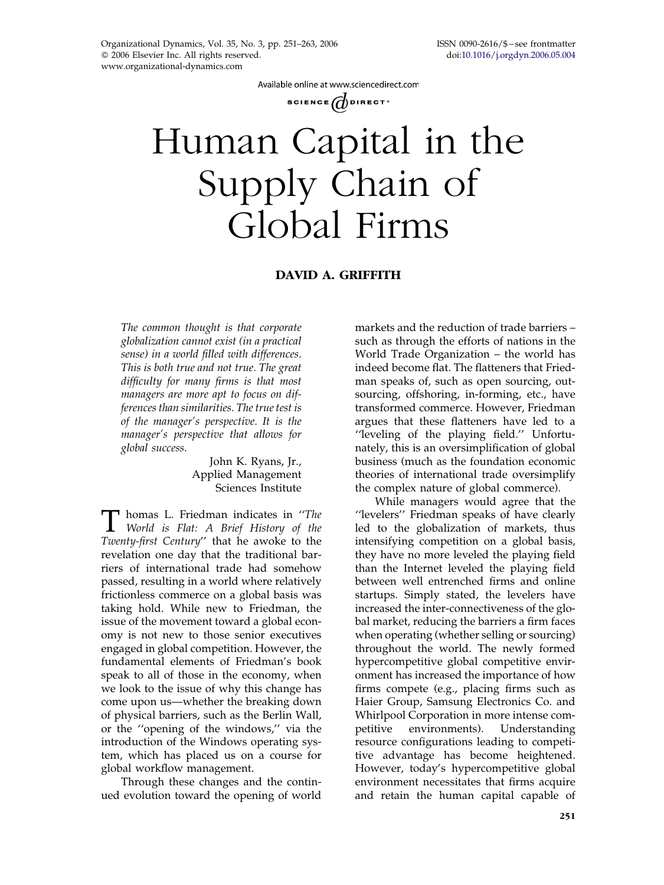Available online at www.sciencedirect.com

SCIENCE  $\overline{d}$  direct<sup>®</sup>

# Human Capital in the Supply Chain of Global Firms

#### DAVID A. GRIFFITH

The common thought is that corporate globalization cannot exist (in a practical sense) in a world filled with differences. This is both true and not true. The great difficulty for many firms is that most managers are more apt to focus on differences than similarities. The true test is of the manager's perspective. It is the manager's perspective that allows for global success.

> John K. Ryans, Jr., Applied Management Sciences Institute

T homas L. Friedman indicates in "The<br>World is Flat: A Brief History of the<br>Trustu first Contune" that he associate to the Twenty-first Century'' that he awoke to the revelation one day that the traditional barriers of international trade had somehow passed, resulting in a world where relatively frictionless commerce on a global basis was taking hold. While new to Friedman, the issue of the movement toward a global economy is not new to those senior executives engaged in global competition. However, the fundamental elements of Friedman's book speak to all of those in the economy, when we look to the issue of why this change has come upon us—whether the breaking down of physical barriers, such as the Berlin Wall, or the ''opening of the windows,'' via the introduction of the Windows operating system, which has placed us on a course for global workflow management.

Through these changes and the continued evolution toward the opening of world markets and the reduction of trade barriers – such as through the efforts of nations in the World Trade Organization – the world has indeed become flat. The flatteners that Friedman speaks of, such as open sourcing, outsourcing, offshoring, in-forming, etc., have transformed commerce. However, Friedman argues that these flatteners have led to a ''leveling of the playing field.'' Unfortunately, this is an oversimplification of global business (much as the foundation economic theories of international trade oversimplify the complex nature of global commerce).

While managers would agree that the ''levelers'' Friedman speaks of have clearly led to the globalization of markets, thus intensifying competition on a global basis, they have no more leveled the playing field than the Internet leveled the playing field between well entrenched firms and online startups. Simply stated, the levelers have increased the inter-connectiveness of the global market, reducing the barriers a firm faces when operating (whether selling or sourcing) throughout the world. The newly formed hypercompetitive global competitive environment has increased the importance of how firms compete (e.g., placing firms such as Haier Group, Samsung Electronics Co. and Whirlpool Corporation in more intense competitive environments). Understanding resource configurations leading to competitive advantage has become heightened. However, today's hypercompetitive global environment necessitates that firms acquire and retain the human capital capable of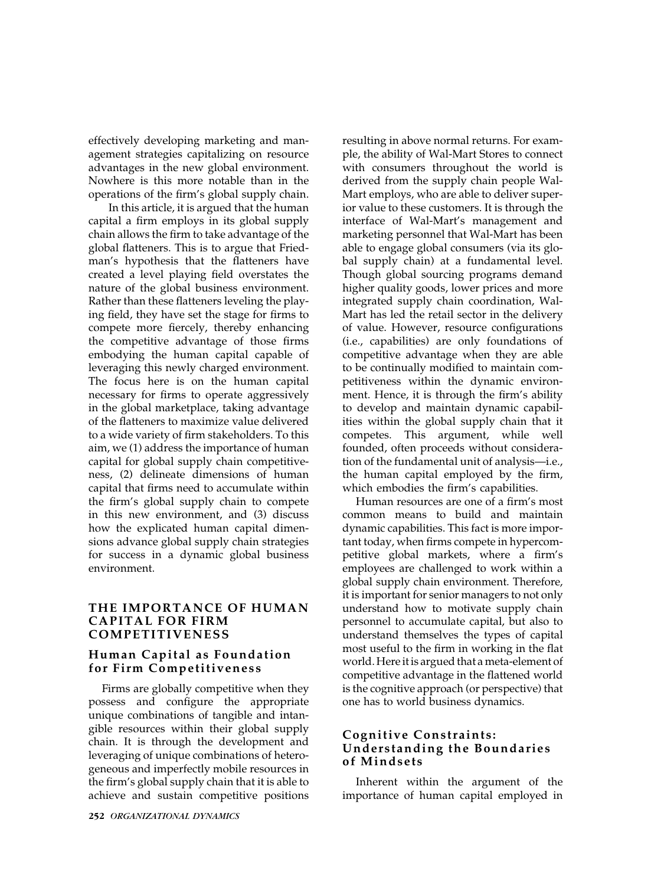effectively developing marketing and management strategies capitalizing on resource advantages in the new global environment. Nowhere is this more notable than in the operations of the firm's global supply chain.

In this article, it is argued that the human capital a firm employs in its global supply chain allows the firm to take advantage of the global flatteners. This is to argue that Friedman's hypothesis that the flatteners have created a level playing field overstates the nature of the global business environment. Rather than these flatteners leveling the playing field, they have set the stage for firms to compete more fiercely, thereby enhancing the competitive advantage of those firms embodying the human capital capable of leveraging this newly charged environment. The focus here is on the human capital necessary for firms to operate aggressively in the global marketplace, taking advantage of the flatteners to maximize value delivered to a wide variety of firm stakeholders. To this aim, we (1) address the importance of human capital for global supply chain competitiveness, (2) delineate dimensions of human capital that firms need to accumulate within the firm's global supply chain to compete in this new environment, and (3) discuss how the explicated human capital dimensions advance global supply chain strategies for success in a dynamic global business environment.

#### THE IMPORTANCE OF HUMAN CAPITAL FOR FIRM COMPETITIVENESS

#### Human Capital as Foundation for Firm Competitiveness

Firms are globally competitive when they possess and configure the appropriate unique combinations of tangible and intangible resources within their global supply chain. It is through the development and leveraging of unique combinations of heterogeneous and imperfectly mobile resources in the firm's global supply chain that it is able to achieve and sustain competitive positions resulting in above normal returns. For example, the ability of Wal-Mart Stores to connect with consumers throughout the world is derived from the supply chain people Wal-Mart employs, who are able to deliver superior value to these customers. It is through the interface of Wal-Mart's management and marketing personnel that Wal-Mart has been able to engage global consumers (via its global supply chain) at a fundamental level. Though global sourcing programs demand higher quality goods, lower prices and more integrated supply chain coordination, Wal-Mart has led the retail sector in the delivery of value. However, resource configurations (i.e., capabilities) are only foundations of competitive advantage when they are able to be continually modified to maintain competitiveness within the dynamic environment. Hence, it is through the firm's ability to develop and maintain dynamic capabilities within the global supply chain that it competes. This argument, while well founded, often proceeds without consideration of the fundamental unit of analysis—i.e., the human capital employed by the firm, which embodies the firm's capabilities.

Human resources are one of a firm's most common means to build and maintain dynamic capabilities. This fact is more important today, when firms compete in hypercompetitive global markets, where a firm's employees are challenged to work within a global supply chain environment. Therefore, it is important for senior managers to not only understand how to motivate supply chain personnel to accumulate capital, but also to understand themselves the types of capital most useful to the firm in working in the flat world. Here it is argued that a meta-element of competitive advantage in the flattened world is the cognitive approach (or perspective) that one has to world business dynamics.

### Cognitive Constraints: Understanding the Boundaries of Mindsets

Inherent within the argument of the importance of human capital employed in